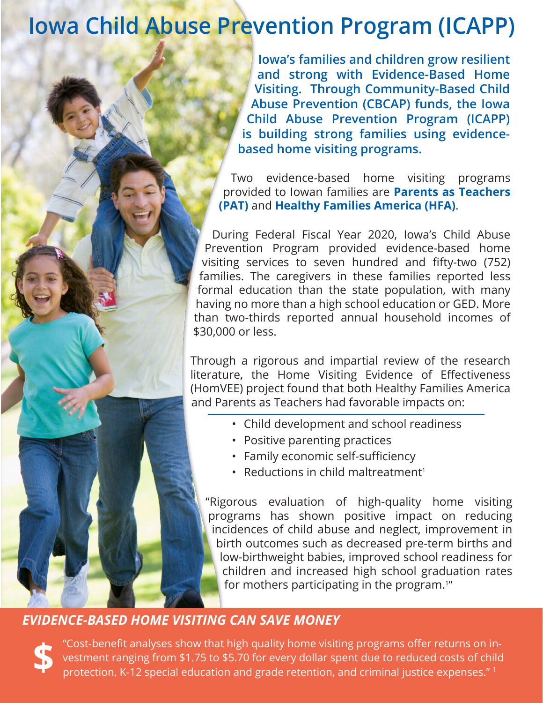## **Iowa Child Abuse Prevention Program (ICAPP)**

**Iowa's families and children grow resilient and strong with Evidence-Based Home Visiting. Through Community-Based Child Abuse Prevention (CBCAP) funds, the Iowa Child Abuse Prevention Program (ICAPP) is building strong families using evidencebased home visiting programs.**

Two evidence-based home visiting programs provided to Iowan families are **Parents as Teachers (PAT)** and **Healthy Families America (HFA)**.

During Federal Fiscal Year 2020, Iowa's Child Abuse Prevention Program provided evidence-based home visiting services to seven hundred and fifty-two (752) families. The caregivers in these families reported less formal education than the state population, with many having no more than a high school education or GED. More than two-thirds reported annual household incomes of \$30,000 or less.

Through a rigorous and impartial review of the research literature, the Home Visiting Evidence of Effectiveness (HomVEE) project found that both Healthy Families America and Parents as Teachers had favorable impacts on:

- Child development and school readiness
- Positive parenting practices
- Family economic self-sufficiency
- Reductions in child maltreatment<sup>1</sup>

"Rigorous evaluation of high-quality home visiting programs has shown positive impact on reducing incidences of child abuse and neglect, improvement in birth outcomes such as decreased pre-term births and low-birthweight babies, improved school readiness for children and increased high school graduation rates for mothers participating in the program.<sup>1"</sup>

## *EVIDENCE-BASED HOME VISITING CAN SAVE MONEY*

**\$** "Cost-benefit analyses show that high quality home visiting programs offer returns on investment ranging from \$1.75 to \$5.70 for every dollar spent due to reduced costs of child protection, K-12 special education and grade retention, and criminal justice expenses."<sup>1</sup>